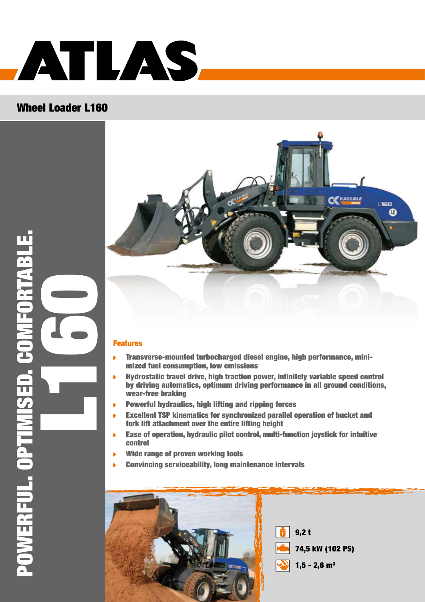

### Wheel Loader L160



#### Features

- Transverse-mounted turbocharged diesel engine, high performance, minimized fuel consumption, low emissions
- Hydrostatic travel drive, high traction power, infinitely variable speed control by driving automatics, optimum driving performance in all ground conditions, wear-free braking
- Powerful hydraulics, high lifting and ripping forces
- Excellent TSP kinematics for synchronized parallel operation of bucket and fork lift attachment over the entire lifting height
- Ease of operation, hydraulic pilot control, multi-function joystick for intuitive control
- Wide range of proven working tools
- Convincing serviceability, long maintenance intervals

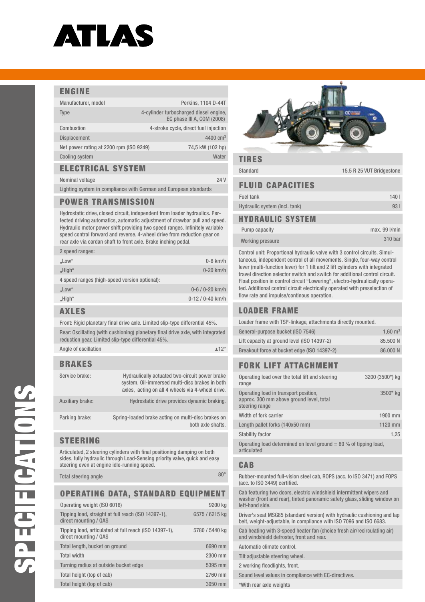# ATLAS

#### ENGINE

| Manufacturer, model                     | Perkins, 1104 D-44T                                                  |
|-----------------------------------------|----------------------------------------------------------------------|
| <b>Type</b>                             | 4-cylinder turbocharged diesel engine,<br>EC phase III A, COM (2008) |
| Combustion                              | 4-stroke cycle, direct fuel injection                                |
| <b>Displacement</b>                     | $4400 \text{ cm}^3$                                                  |
| Net power rating at 2200 rpm (ISO 9249) | 74,5 kW (102 hp)                                                     |
| <b>Cooling system</b>                   | Water                                                                |
|                                         |                                                                      |

#### Electrical system

Nominal voltage 24 V

Lighting system in compliance with German and European standards

#### Power transmission

Hydrostatic drive, closed circuit, independent from loader hydraulics. Perfected driving automatics, automatic adjustment of drawbar pull and speed. Hydraulic motor power shift providing two speed ranges. Infinitely variable speed control forward and reverse. 4-wheel drive from reduction gear on rear axle via cardan shaft to front axle. Brake inching pedal.

| 2 speed ranges:                               |                       |
|-----------------------------------------------|-----------------------|
| "Low"                                         | $0-6$ km/h            |
| "High"                                        | $0-20$ km/h           |
| 4 speed ranges (high-speed version optional): |                       |
| , Low''                                       | $0 - 6 / 0 - 20$ km/h |
| "High"                                        | $0-12/0-40$ km/h      |
|                                               |                       |

#### Axles

Front: Rigid planetary final drive axle. Limited slip-type differential 45%.

| Rear: Oscillating (with cushioning) planetary final drive axle, with integrated |
|---------------------------------------------------------------------------------|
| reduction gear. Limited slip-type differential 45%.                             |
|                                                                                 |

| Angle of oscillation | ±12 <sup>c</sup> |
|----------------------|------------------|
|                      |                  |

#### BrAKES

| Service brake:   | Hydraulically actuated two-circuit power brake<br>system. Oil-immersed multi-disc brakes in both<br>axles, acting on all 4 wheels via 4-wheel drive. |
|------------------|------------------------------------------------------------------------------------------------------------------------------------------------------|
| Auxiliary brake: | Hydrostatic drive provides dynamic braking.                                                                                                          |
| Parking brake:   | Spring-loaded brake acting on multi-disc brakes on<br>both axle shafts.                                                                              |

#### **STEERING**

Articulated, 2 steering cylinders with final positioning damping on both sides, fully hydraulic through Load-Sensing priority valve, quick and easy steering even at engine idle-running speed.

Total steering angle 80° and 80° and 80° and 80° and 80° and 80° and 80° and 80° and 80° and 80° and 80° and 80°

#### Operating data, standard equipment

| Operating weight (ISO 6016)                                                     | 9200 kg        |
|---------------------------------------------------------------------------------|----------------|
| Tipping load, straight at full reach (ISO 14397-1),<br>direct mounting / QAS    | 6575 / 6215 kg |
| Tipping load, articulated at full reach (ISO 14397-1),<br>direct mounting / QAS | 5780 / 5440 kg |
| Total length, bucket on ground                                                  | 6690 mm        |
| <b>Total width</b>                                                              | 2300 mm        |
| Turning radius at outside bucket edge                                           | 5395 mm        |
| Total height (top of cab)                                                       | 2760 mm        |
| Total height (top of cab)                                                       | 3050 mm        |



#### TIRES

Standard 15.5 R 25 VUT Bridgestone

#### Fluid capacities

| Fuel tank                     | 140 L |
|-------------------------------|-------|
| Hydraulic system (incl. tank) | 93 I  |
| <b>HYDRAULIC SYSTEM</b>       |       |

| Pump capacity    | $max.99$ $l/min$ |
|------------------|------------------|
| Working pressure | 310 bar          |

Control unit: Proportional hydraulic valve with 3 control circuits. Simultaneous, independent control of all movements. Single, four-way control lever (multi-function lever) for 1 tilt and 2 lift cylinders with integrated travel direction selector switch and switch for additional control circuit. Float position in control circuit "Lowering", electro-hydraulically operated. Additional control circuit electrically operated with preselection of flow rate and impulse/continous operation.

#### Loader frame

| Loader frame with TSP-linkage, attachments directly mounted. |                    |
|--------------------------------------------------------------|--------------------|
| General-purpose bucket (ISO 7546)                            | $1.60 \text{ m}^3$ |
| Lift capacity at ground level (ISO 14397-2)                  | 85.500 N           |
| Breakout force at bucket edge (ISO 14397-2)                  | 86,000 N           |
|                                                              |                    |

#### Fork lift attachment

| Operating load over the total lift and steering<br>range                                            | 3200 (3500*) kg |
|-----------------------------------------------------------------------------------------------------|-----------------|
| Operating load in transport position,<br>approx. 300 mm above ground level, total<br>steering range | $3500*$ kg      |
| Width of fork carrier                                                                               | 1900 mm         |
| Length pallet forks (140x50 mm)                                                                     | 1120 mm         |
| <b>Stability factor</b>                                                                             | 1,25            |
| Operating load determined on level ground $=$ 80 % of tipping load,<br>articulated                  |                 |
|                                                                                                     |                 |

#### CAB

Rubber-mounted full-vision steel cab, ROPS (acc. to ISO 3471) and FOPS (acc. to ISO 3449) certified.

Cab featuring two doors, electric windshield intermittent wipers and washer (front and rear), tinted panoramic safety glass, sliding window on left-hand side.

Driver's seat MSG85 (standard version) with hydraulic cushioning and lap belt, weight-adjustable, in compliance with ISO 7096 and ISO 6683.

Cab heating with 3-speed heater fan (choice fresh air/recirculating air) and windshield defroster, front and rear.

Automatic climate control.

Tilt adjustable steering wheel.

2 working floodlights, front.

Sound level values in compliance with EC-directives.

\*With rear axle weights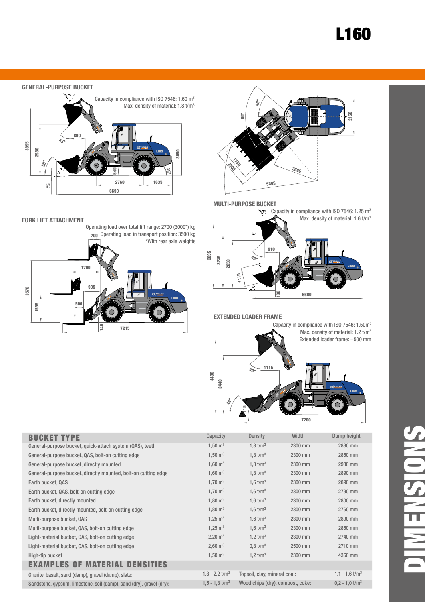## L160

#### **GENERAL-PURPOSE BUCKET**



#### **Fork lift attachment**

Operating load over total lift range: 2700 (3000\*) kg 700 Operating load in transport position: 3500 kg





#### **Multi-purpose bucket**



#### **Extended loader frame**

Capacity in compliance with ISO 7546: 1.50m3 Max. density of material: 1.2 t/m<sup>3</sup> Extended loader frame: +500 mm 7200 1115 3440 115 50°48°

| <b>BUCKET TYPE</b>                                                   | Capacity                     | Density                          | Width   | Dump height                  |
|----------------------------------------------------------------------|------------------------------|----------------------------------|---------|------------------------------|
| General-purpose bucket, quick-attach system (QAS), teeth             | $1,50 \text{ m}^3$           | 1,8 $t/m3$                       | 2300 mm | 2890 mm                      |
| General-purpose bucket, QAS, bolt-on cutting edge                    | $1,50 \text{ m}^3$           | 1,8 $t/m3$                       | 2300 mm | 2850 mm                      |
| General-purpose bucket, directly mounted                             | $1,60 \text{ m}^3$           | 1,8 $t/m3$                       | 2300 mm | 2930 mm                      |
| General-purpose bucket, directly mounted, bolt-on cutting edge       | $1,60 \text{ m}^3$           | 1,8 $t/m3$                       | 2300 mm | 2890 mm                      |
| Earth bucket, QAS                                                    | $1,70 \text{ m}^3$           | 1,6 $t/m^3$                      | 2300 mm | 2890 mm                      |
| Earth bucket, QAS, bolt-on cutting edge                              | $1,70 \text{ m}^3$           | 1,6 $t/m^3$                      | 2300 mm | 2790 mm                      |
| Earth bucket, directly mounted                                       | $1,80 \text{ m}^3$           | 1,6 $t/m^3$                      | 2300 mm | 2800 mm                      |
| Earth bucket, directly mounted, bolt-on cutting edge                 | $1,80 \text{ m}^3$           | 1,6 $t/m^3$                      | 2300 mm | 2760 mm                      |
| Multi-purpose bucket, QAS                                            | $1,25 \text{ m}^3$           | 1,6 $t/m^3$                      | 2300 mm | 2890 mm                      |
| Multi-purpose bucket, QAS, bolt-on cutting edge                      | $1,25 \text{ m}^3$           | 1,6 $t/m^3$                      | 2300 mm | 2850 mm                      |
| Light-material bucket, QAS, bolt-on cutting edge                     | $2,20 \text{ m}^3$           | 1,2 $t/m^3$                      | 2300 mm | 2740 mm                      |
| Light-material bucket, QAS, bolt-on cutting edge                     | $2,60 \text{ m}^3$           | $0.8 \text{ t/m}^3$              | 2500 mm | 2710 mm                      |
| High-tip bucket                                                      | $1,50 \text{ m}^3$           | 1,2 $t/m^3$                      | 2300 mm | 4360 mm                      |
| <b>AMPLES OF MATERIAL DENSITIES</b>                                  |                              |                                  |         |                              |
| Granite, basalt, sand (damp), gravel (damp), slate:                  | $1,8 - 2,2$ t/m <sup>3</sup> | Topsoil, clay, mineral coal:     |         | $1,1 - 1,6$ t/m <sup>3</sup> |
| Sandstone, gypsum, limestone, soil (damp), sand (dry), gravel (dry): | $1,5 - 1,8$ t/m <sup>3</sup> | Wood chips (dry), compost, coke: |         | $0.2 - 1.0$ t/m <sup>3</sup> |
|                                                                      |                              |                                  |         |                              |

4400